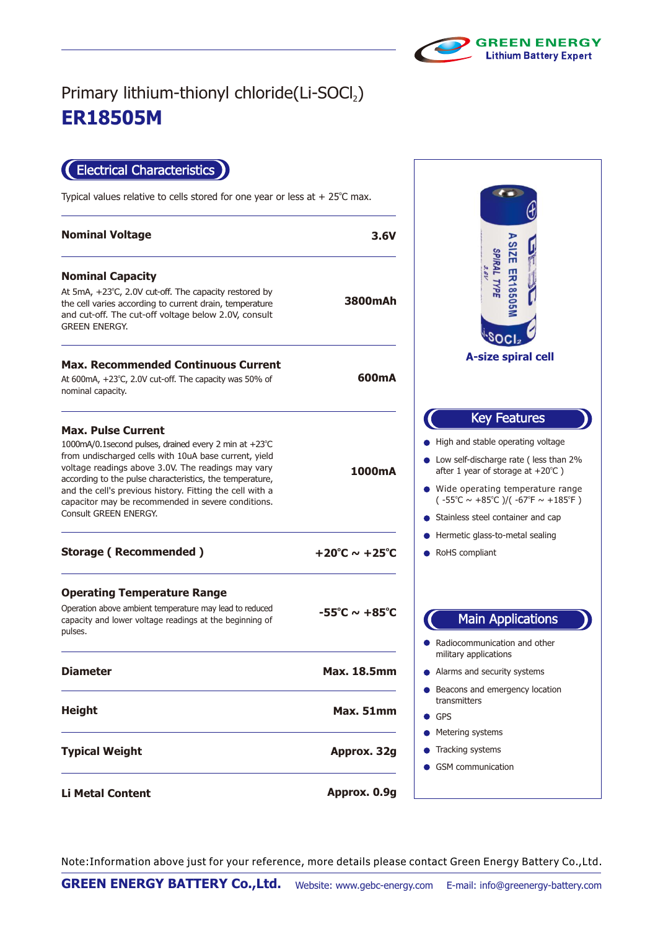

## **ER18505M** Primary lithium-thionyl chloride(Li-SOCl2)

Electrical Characteristics

Typical values relative to cells stored for one year or less at  $+25^{\circ}$ C max.

| <b>Nominal Voltage</b>                                                                                                                                                                                                                                                                                                                                                                                   | 3.6V                              |                                                                                           |
|----------------------------------------------------------------------------------------------------------------------------------------------------------------------------------------------------------------------------------------------------------------------------------------------------------------------------------------------------------------------------------------------------------|-----------------------------------|-------------------------------------------------------------------------------------------|
| <b>Nominal Capacity</b><br>At 5mA, +23°C, 2.0V cut-off. The capacity restored by<br>the cell varies according to current drain, temperature<br>and cut-off. The cut-off voltage below 2.0V, consult<br><b>GREEN ENERGY.</b>                                                                                                                                                                              | 3800mAh                           |                                                                                           |
| <b>Max. Recommended Continuous Current</b><br>At 600mA, +23°C, 2.0V cut-off. The capacity was 50% of<br>nominal capacity.                                                                                                                                                                                                                                                                                | 600mA                             |                                                                                           |
| <b>Max. Pulse Current</b><br>1000mA/0.1second pulses, drained every 2 min at +23°C<br>from undischarged cells with 10uA base current, yield<br>voltage readings above 3.0V. The readings may vary<br>according to the pulse characteristics, the temperature,<br>and the cell's previous history. Fitting the cell with a<br>capacitor may be recommended in severe conditions.<br>Consult GREEN ENERGY. | 1000mA                            | High ar<br>Low se<br>after 1<br>$\bullet\,$ Wide c<br>$(-55^{\circ}C)$<br><b>Stainles</b> |
| <b>Storage (Recommended)</b>                                                                                                                                                                                                                                                                                                                                                                             | $+20^{\circ}$ C ~ $+25^{\circ}$ C | Hermet<br>RoHS c                                                                          |
| <b>Operating Temperature Range</b><br>Operation above ambient temperature may lead to reduced<br>capacity and lower voltage readings at the beginning of<br>pulses.                                                                                                                                                                                                                                      | $-55^{\circ}$ C ~ $+85^{\circ}$ C | Radioco                                                                                   |
| <b>Diameter</b>                                                                                                                                                                                                                                                                                                                                                                                          | <b>Max. 18.5mm</b>                | military<br>Alarms                                                                        |
| <b>Height</b>                                                                                                                                                                                                                                                                                                                                                                                            | Max. 51mm                         | Beacon<br>transmi<br>GPS                                                                  |
| <b>Typical Weight</b>                                                                                                                                                                                                                                                                                                                                                                                    | Approx. 32g                       | Meterin<br>Trackin<br>GSM cc                                                              |
| <b>Li Metal Content</b>                                                                                                                                                                                                                                                                                                                                                                                  | Approx. 0.9g                      |                                                                                           |

**SIZE ER185 SPIRAL TYPE A-size spiral cell** Key Features d stable operating voltage If-discharge rate ( less than 2% year of storage at  $+20^{\circ}$ C ) perating temperature range ( -55°C  $\sim$  +85°C )/( -67°F  $\sim$  +185°F ) ss steel container and cap ic glass-to-metal sealing compliant Main Applications ommunication and other applications and security systems is and emergency location itters ng systems g systems *mmunication* 

Note:Information above just for your reference, more details please contact Green Energy Battery Co.,Ltd.